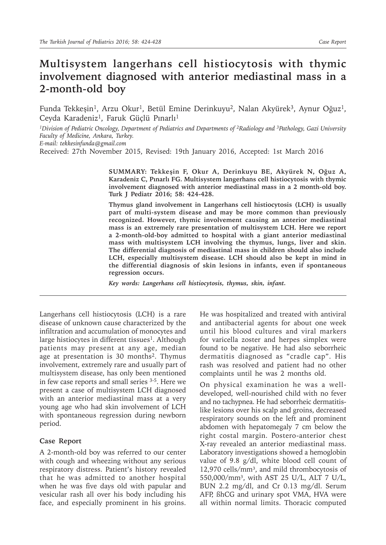## **Multisystem langerhans cell histiocytosis with thymic involvement diagnosed with anterior mediastinal mass in a 2-month-old boy**

Funda Tekkeşin<sup>1</sup>, Arzu Okur<sup>1</sup>, Betül Emine Derinkuyu<sup>2</sup>, Nalan Akyürek<sup>3</sup>, Aynur Oğuz<sup>1</sup>, Ceyda Karadeniz<sup>1</sup>, Faruk Güçlü Pınarlı<sup>1</sup>

*1Division of Pediatric Oncology, Department of Pediatrics and Departments of 2Radiology and 3Pathology, Gazi University Faculty of Medicine, Ankara, Turkey.* 

*E-mail: tekkesinfunda@gmail.com*

Received: 27th November 2015, Revised: 19th January 2016, Accepted: 1st March 2016

**SUMMARY: Tekkeşin F, Okur A, Derinkuyu BE, Akyürek N, Oğuz A, Karadeniz C, Pınarlı FG. Multisystem langerhans cell histiocytosis with thymic involvement diagnosed with anterior mediastinal mass in a 2 month-old boy. Turk J Pediatr 2016; 58: 424-428.**

**Thymus gland involvement in Langerhans cell histiocytosis (LCH) is usually part of multi-system disease and may be more common than previously recognized. However, thymic involvement causing an anterior mediastinal mass is an extremely rare presentation of multisystem LCH. Here we report a 2-month-old-boy admitted to hospital with a giant anterior mediastinal mass with multisystem LCH involving the thymus, lungs, liver and skin. The differential diagnosis of mediastinal mass in children should also include LCH, especially multisystem disease. LCH should also be kept in mind in the differential diagnosis of skin lesions in infants, even if spontaneous regression occurs.**

*Key words: Langerhans cell histiocytosis, thymus, skin, infant.*

Langerhans cell histiocytosis (LCH) is a rare disease of unknown cause characterized by the infiltration and accumulation of monocytes and large histiocytes in different tissues<sup>1</sup>. Although patients may present at any age, median age at presentation is 30 months<sup>2</sup>. Thymus involvement, extremely rare and usually part of multisystem disease, has only been mentioned in few case reports and small series 3-5. Here we present a case of multisystem LCH diagnosed with an anterior mediastinal mass at a very young age who had skin involvement of LCH with spontaneous regression during newborn period.

## **Case Report**

A 2-month-old boy was referred to our center with cough and wheezing without any serious respiratory distress. Patient's history revealed that he was admitted to another hospital when he was five days old with papular and vesicular rash all over his body including his face, and especially prominent in his groins.

He was hospitalized and treated with antiviral and antibacterial agents for about one week until his blood cultures and viral markers for varicella zoster and herpes simplex were found to be negative. He had also seborrheic dermatitis diagnosed as "cradle cap". His rash was resolved and patient had no other complaints until he was 2 months old.

On physical examination he was a welldeveloped, well-nourished child with no fever and no tachypnea. He had seborrheic dermatitislike lesions over his scalp and groins, decreased respiratory sounds on the left and prominent abdomen with hepatomegaly 7 cm below the right costal margin. Postero-anterior chest X-ray revealed an anterior mediastinal mass. Laboratory investigations showed a hemoglobin value of 9.8 g/dl, white blood cell count of 12,970 cells/mm<sup>3</sup>, and mild thrombocytosis of 550,000/mm³, with AST 25 U/L, ALT 7 U/L, BUN 2.2 mg/dl, and Cr 0.13 mg/dl. Serum AFP, ßhCG and urinary spot VMA, HVA were all within normal limits. Thoracic computed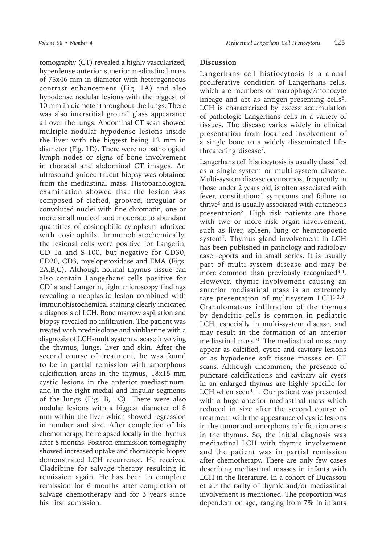tomography (CT) revealed a highly vascularized, hyperdense anterior superior mediastinal mass of 75x46 mm in diameter with heterogeneous contrast enhancement (Fig. 1A) and also hypodense nodular lesions with the biggest of 10 mm in diameter throughout the lungs. There was also interstitial ground glass appearance all over the lungs. Abdominal CT scan showed multiple nodular hypodense lesions inside the liver with the biggest being 12 mm in diameter (Fig. 1D). There were no pathological lymph nodes or signs of bone involvement in thoracal and abdominal CT images. An ultrasound guided trucut biopsy was obtained from the mediastinal mass. Histopathological examination showed that the lesion was composed of clefted, grooved, irregular or convoluted nuclei with fine chromatin, one or more small nucleoli and moderate to abundant quantities of eosinophilic cytoplasm admixed with eosinophils. Immunohistochemically, the lesional cells were positive for Langerin, CD 1a and S-100, but negative for CD30, CD20, CD3, myeloperoxidase and EMA (Figs. 2A,B,C). Although normal thymus tissue can also contain Langerhans cells positive for CD1a and Langerin, light microscopy findings revealing a neoplastic lesion combined with immunohistochemical staining clearly indicated a diagnosis of LCH. Bone marrow aspiration and biopsy revealed no infiltration. The patient was treated with prednisolone and vinblastine with a diagnosis of LCH-multisystem disease involving the thymus, lungs, liver and skin. After the second course of treatment, he was found to be in partial remission with amorphous calcification areas in the thymus, 18x15 mm cystic lesions in the anterior mediastinum, and in the right medial and lingular segments of the lungs (Fig.1B, 1C). There were also nodular lesions with a biggest diameter of 8 mm within the liver which showed regression in number and size. After completion of his chemotherapy, he relapsed locally in the thymus after 8 months. Positron emmission tomography showed increased uptake and thorascopic biopsy demonstrated LCH recurrence. He received Cladribine for salvage therapy resulting in remission again. He has been in complete remission for 6 months after completion of salvage chemotherapy and for 3 years since his first admission.

## **Discussion**

Langerhans cell histiocytosis is a clonal proliferative condition of Langerhans cells, which are members of macrophage/monocyte lineage and act as antigen-presenting cells<sup>6</sup>. LCH is characterized by excess accumulation of pathologic Langerhans cells in a variety of tissues. The disease varies widely in clinical presentation from localized involvement of a single bone to a widely disseminated lifethreatening disease7.

Langerhans cell histiocytosis is usually classified as a single-system or multi-system disease. Multi-system disease occurs most frequently in those under 2 years old, is often associated with fever, constitutional symptoms and failure to thrive<sup>6</sup> and is usually associated with cutaneous presentation<sup>8</sup>. High risk patients are those with two or more risk organ involvement, such as liver, spleen, lung or hematopoetic system7. Thymus gland involvement in LCH has been published in pathology and radiology case reports and in small series. It is usually part of multi-system disease and may be more common than previously recognized<sup>3,4</sup>. However, thymic involvement causing an anterior mediastinal mass is an extremely rare presentation of multisystem LCH<sup>1,3,9</sup>. Granulomatous infiltration of the thymus by dendritic cells is common in pediatric LCH, especially in multi-system disease, and may result in the formation of an anterior mediastinal mass10. The mediastinal mass may appear as calcified, cystic and cavitary lesions or as hypodense soft tissue masses on CT scans. Although uncommon, the presence of punctate calcifications and cavitary air cysts in an enlarged thymus are highly specific for LCH when seen<sup>9,11</sup>. Our patient was presented with a huge anterior mediastinal mass which reduced in size after the second course of treatment with the appearance of cystic lesions in the tumor and amorphous calcification areas in the thymus. So, the initial diagnosis was mediastinal LCH with thymic involvement and the patient was in partial remission after chemotherapy. There are only few cases describing mediastinal masses in infants with LCH in the literature. In a cohort of Ducassou et al.<sup>5</sup> the rarity of thymic and/or mediastinal involvement is mentioned. The proportion was dependent on age, ranging from 7% in infants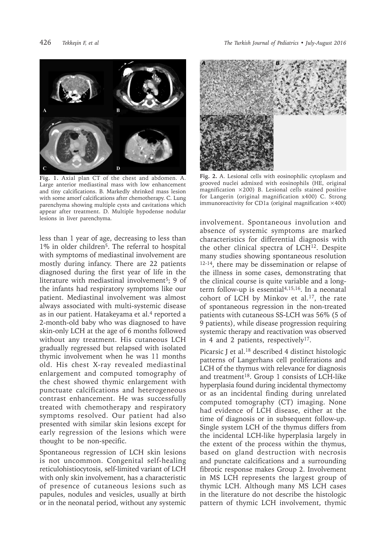426 *Tekkeşin F, et al The Turkish Journal of Pediatrics • July-August 2016*



**Fig. 1.** Axial plan CT of the chest and abdomen. A. Large anterior mediastinal mass with low enhancement and tiny calcifications. B. Markedly shrinked mass lesion with some amorf calcifications after chemotherapy. C. Lung parenchyma showing multiple cysts and cavitations which appear after treatment. D. Multiple hypodense nodular lesions in liver parenchyma.

less than 1 year of age, decreasing to less than 1% in older children5. The referral to hospital with symptoms of mediastinal involvement are mostly during infancy. There are 22 patients diagnosed during the first year of life in the literature with mediastinal involvement<sup>5</sup>; 9 of the infants had respiratory symptoms like our patient. Mediastinal involvement was almost always associated with multi-systemic disease as in our patient. Hatakeyama et al.<sup>4</sup> reported a 2-month-old baby who was diagnosed to have skin-only LCH at the age of 6 months followed without any treatment. His cutaneous LCH gradually regressed but relapsed with isolated thymic involvement when he was 11 months old. His chest X-ray revealed mediastinal enlargement and computed tomography of the chest showed thymic enlargement with punctuate calcifications and heterogeneous contrast enhancement. He was successfully treated with chemotherapy and respiratory symptoms resolved. Our patient had also presented with similar skin lesions except for early regression of the lesions which were thought to be non-specific.

Spontaneous regression of LCH skin lesions is not uncommon. Congenital self-healing reticulohistiocytosis, self-limited variant of LCH with only skin involvement, has a characteristic of presence of cutaneous lesions such as papules, nodules and vesicles, usually at birth or in the neonatal period, without any systemic



**Fig. 2.** A. Lesional cells with eosinophilic cytoplasm and grooved nuclei admixed with eosinophils (HE, original magnification ×200) B. Lesional cells stained positive for Langerin (original magnification x400) C. Strong immunoreactivity for CD1a (original magnification  $\times$ 400)

involvement. Spontaneous involution and absence of systemic symptoms are marked characteristics for differential diagnosis with the other clinical spectra of LCH<sup>12</sup>. Despite many studies showing spontaneous resolution 12-14, there may be dissemination or relapse of the illness in some cases, demonstrating that the clinical course is quite variable and a longterm follow-up is essential4,15,16. In a neonatal cohort of LCH by Minkov et al.17, the rate of spontaneous regression in the non-treated patients with cutaneous SS-LCH was 56% (5 of 9 patients), while disease progression requiring systemic therapy and reactivation was observed in 4 and 2 patients, respectively<sup>17</sup>.

Picarsic J et al.<sup>18</sup> described 4 distinct histologic patterns of Langerhans cell proliferations and LCH of the thymus with relevance for diagnosis and treatment<sup>18</sup>. Group 1 consists of LCH-like hyperplasia found during incidental thymectomy or as an incidental finding during unrelated computed tomography (CT) imaging. None had evidence of LCH disease, either at the time of diagnosis or in subsequent follow-up. Single system LCH of the thymus differs from the incidental LCH-like hyperplasia largely in the extent of the process within the thymus, based on gland destruction with necrosis and punctate calcifications and a surrounding fibrotic response makes Group 2. Involvement in MS LCH represents the largest group of thymic LCH. Although many MS LCH cases in the literature do not describe the histologic pattern of thymic LCH involvement, thymic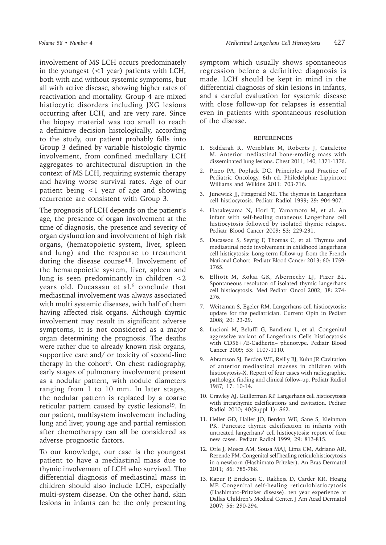involvement of MS LCH occurs predominately in the youngest  $(<1$  year) patients with LCH, both with and without systemic symptoms, but all with active disease, showing higher rates of reactivation and mortality. Group 4 are mixed histiocytic disorders including JXG lesions occurring after LCH, and are very rare. Since the biopsy material was too small to reach a definitive decision histologically, according to the study, our patient probably falls into Group 3 defined by variable histologic thymic involvement, from confined medullary LCH aggregates to architectural disruption in the context of MS LCH, requiring systemic therapy and having worse survival rates. Age of our patient being <1 year of age and showing recurrence are consistent with Group 3.

The prognosis of LCH depends on the patient's age, the presence of organ involvement at the time of diagnosis, the presence and severity of organ dysfunction and involvement of high risk organs, (hematopoietic system, liver, spleen and lung) and the response to treatment during the disease course<sup>4,8</sup>. Involvement of the hematopoietic system, liver, spleen and lung is seen predominantly in children <2 vears old. Ducassau et al.<sup>5</sup> conclude that mediastinal involvement was always associated with multi systemic diseases, with half of them having affected risk organs. Although thymic involvement may result in significant adverse symptoms, it is not considered as a major organ determining the prognosis. The deaths were rather due to already known risk organs, supportive care and/ or toxicity of second-line therapy in the cohort<sup>5</sup>. On chest radiography, early stages of pulmonary involvement present as a nodular pattern, with nodule diameters ranging from 1 to 10 mm. In later stages, the nodular pattern is replaced by a coarse reticular pattern caused by cystic lesions<sup>19</sup>. In our patient, multisystem involvement including lung and liver, young age and partial remission after chemotherapy can all be considered as adverse prognostic factors.

To our knowledge, our case is the youngest patient to have a mediastinal mass due to thymic involvement of LCH who survived. The differential diagnosis of mediastinal mass in children should also include LCH, especially multi-system disease. On the other hand, skin lesions in infants can be the only presenting

symptom which usually shows spontaneous regression before a definitive diagnosis is made. LCH should be kept in mind in the differential diagnosis of skin lesions in infants, and a careful evaluation for systemic disease with close follow-up for relapses is essential even in patients with spontaneous resolution of the disease.

## **REFERENCES**

- 1. Siddaiah R, Weinblatt M, Roberts J, Cataletto M. Anterior mediastinal bone-eroding mass with disseminated lung lesions. Chest 2011; 140; 1371-1376.
- 2. Pizzo PA, Poplack DG. Principles and Practice of Pediatric Oncology, 6th ed. Philedelphia: Lippincott Williams and Wilkins 2011: 703-716.
- 3. Junewick JJ, Fitzgerald NE. The thymus in Langerhans cell histiocytosis. Pediatr Radiol 1999; 29: 904-907.
- 4. Hatakeyama N, Hori T, Yamamoto M, et al. An infant with self-healing cutaneous Langerhans cell histiocytosis followed by isolated thymic relapse. Pediatr Blood Cancer 2009: 53; 229-231.
- 5. Ducassou S, Seyrig F, Thomas C, et al. Thymus and mediastinal node involvement in childhood langerhans cell histicytosis: Long-term follow-up from the French National Cohort. Pediatr Blood Cancer 2013; 60: 1759- 1765.
- 6. Elliott M, Kokai GK, Abernethy LJ, Pizer BL. Spontaneous resoluton of isolated thymic langerhans cell histiocytosis. Med Pediatr Oncol 2002; 38: 274- 276.
- 7. Weitzman S, Egeler RM. Langerhans cell histiocytosis: update for the pediatrician. Current Opin in Pediatr 2008; 20: 23-29.
- 8. Lucioni M, Beluffi G, Bandiera L, et al. Congenital aggressive variant of Langerhans Cells histiocytosis with CD56+/E-Cadherin– phenotype. Pediatr Blood Cancer 2009; 53: 1107-1110.
- 9. Abramson SJ, Berdon WE, Reilly BJ, Kuhn JP. Cavitation of anterior mediastinal masses in children with histiocytosis-X. Report of four cases with radiographic, pathologic finding and clinical follow-up. Pediatr Radiol 1987; 17: 10-14.
- 10. Crawley AJ, Guillerman RP. Langerhans cell histiocytosis with intrathymic calcifications and cavitation. Pediatr Radiol 2010; 40(Suppl 1): S62.
- 11. Heller GD, Haller JO, Berdon WE, Sane S, Kleinman PK. Punctate thymic calcification in infants with untreated langerhans' cell histiocytosis: report of four new cases. Pediatr Radiol 1999; 29: 813-815.
- 12. Orle J, Mosca AM, Sousa MAJ, Lima CM, Adriano AR, Rezende PM. Congenital self healing reticulohistiocytosis in a newborn (Hashimato Pritzker). An Bras Dermatol 2011; 86: 785-788.
- 13. Kapur P, Erickson C, Rakheja D, Carder KR, Hoang MP. Congenital self-healing reticulohistiocytosis (Hashimato-Pritzker disease): ten year experience at Dallas Children's Medical Center. J Am Acad Dermatol 2007; 56: 290-294.